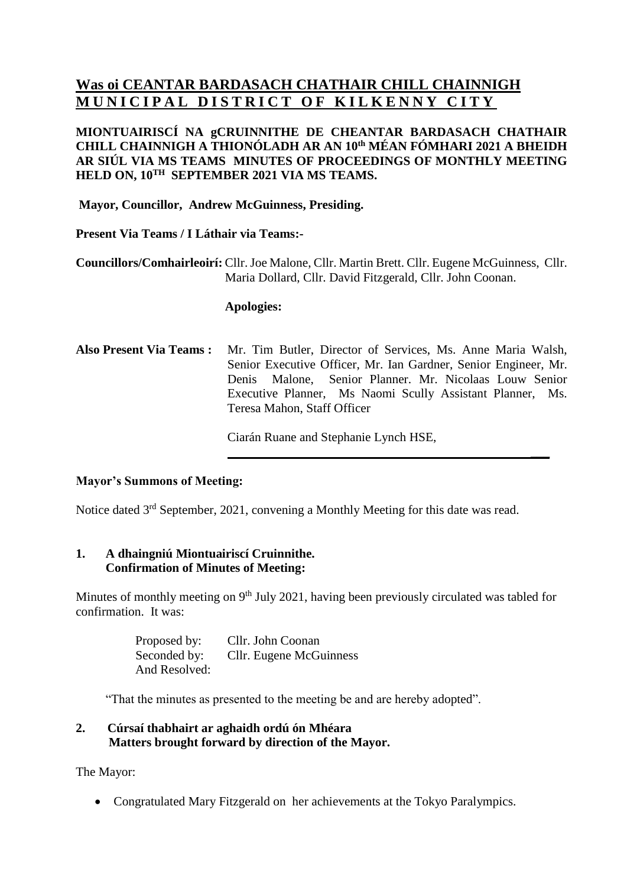# **Was oi CEANTAR BARDASACH CHATHAIR CHILL CHAINNIGH MUNICIPAL DISTRICT OF KILKENNY CITY**

# **MIONTUAIRISCÍ NA gCRUINNITHE DE CHEANTAR BARDASACH CHATHAIR CHILL CHAINNIGH A THIONÓLADH AR AN 10th MÉAN FÓMHARI 2021 A BHEIDH AR SIÚL VIA MS TEAMS MINUTES OF PROCEEDINGS OF MONTHLY MEETING HELD ON, 10TH SEPTEMBER 2021 VIA MS TEAMS.**

**Mayor, Councillor, Andrew McGuinness, Presiding.**

# **Present Via Teams / I Láthair via Teams:-**

**Councillors/Comhairleoirí:** Cllr.Joe Malone, Cllr. Martin Brett. Cllr. Eugene McGuinness, Cllr. Maria Dollard, Cllr. David Fitzgerald, Cllr. John Coonan.

#### **Apologies:**

**Also Present Via Teams :** Mr. Tim Butler, Director of Services, Ms. Anne Maria Walsh, Senior Executive Officer, Mr. Ian Gardner, Senior Engineer, Mr. Denis Malone, Senior Planner. Mr. Nicolaas Louw Senior Executive Planner, Ms Naomi Scully Assistant Planner, Ms. Teresa Mahon, Staff Officer

Ciarán Ruane and Stephanie Lynch HSE,

**\_\_\_**

#### **Mayor's Summons of Meeting:**

Notice dated 3<sup>rd</sup> September, 2021, convening a Monthly Meeting for this date was read.

# **1. A dhaingniú Miontuairiscí Cruinnithe. Confirmation of Minutes of Meeting:**

Minutes of monthly meeting on 9<sup>th</sup> July 2021, having been previously circulated was tabled for confirmation. It was:

> Proposed by: Cllr. John Coonan Seconded by: Cllr. Eugene McGuinness And Resolved:

"That the minutes as presented to the meeting be and are hereby adopted".

# **2. Cúrsaí thabhairt ar aghaidh ordú ón Mhéara Matters brought forward by direction of the Mayor.**

The Mayor:

• Congratulated Mary Fitzgerald on her achievements at the Tokyo Paralympics.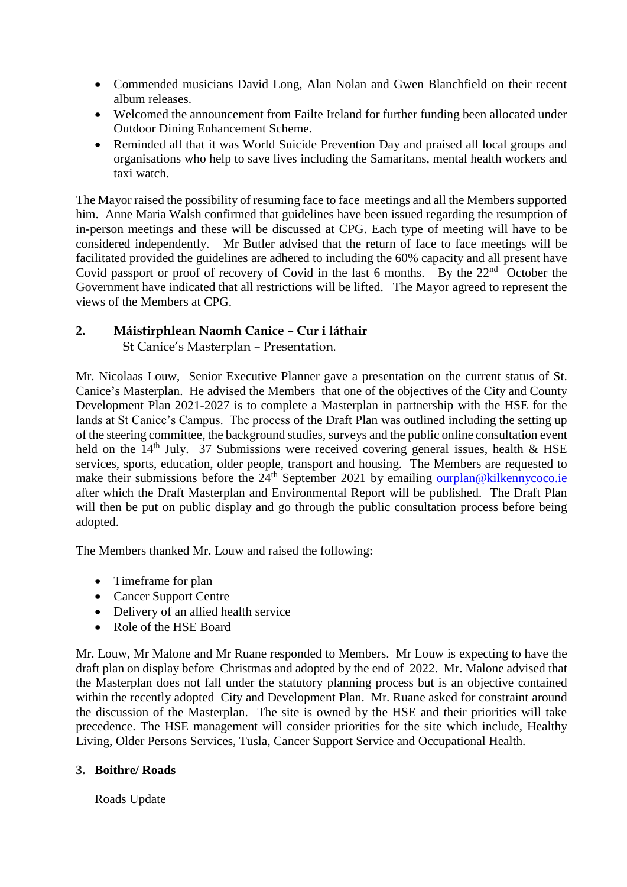- Commended musicians David Long, Alan Nolan and Gwen Blanchfield on their recent album releases.
- Welcomed the announcement from Failte Ireland for further funding been allocated under Outdoor Dining Enhancement Scheme.
- Reminded all that it was World Suicide Prevention Day and praised all local groups and organisations who help to save lives including the Samaritans, mental health workers and taxi watch.

The Mayor raised the possibility of resuming face to face meetings and all the Members supported him. Anne Maria Walsh confirmed that guidelines have been issued regarding the resumption of in-person meetings and these will be discussed at CPG. Each type of meeting will have to be considered independently. Mr Butler advised that the return of face to face meetings will be facilitated provided the guidelines are adhered to including the 60% capacity and all present have Covid passport or proof of recovery of Covid in the last 6 months. By the 22<sup>nd</sup> October the Government have indicated that all restrictions will be lifted. The Mayor agreed to represent the views of the Members at CPG.

# **2. Máistirphlean Naomh Canice – Cur i láthair**

St Canice's Masterplan – Presentation.

Mr. Nicolaas Louw, Senior Executive Planner gave a presentation on the current status of St. Canice's Masterplan. He advised the Members that one of the objectives of the City and County Development Plan 2021-2027 is to complete a Masterplan in partnership with the HSE for the lands at St Canice's Campus. The process of the Draft Plan was outlined including the setting up of the steering committee, the background studies, surveys and the public online consultation event held on the  $14<sup>th</sup>$  July. 37 Submissions were received covering general issues, health & HSE services, sports, education, older people, transport and housing. The Members are requested to make their submissions before the  $24<sup>th</sup>$  September 2021 by emailing [ourplan@kilkennycoco.ie](mailto:ourplan@kilkennycoco.ie) after which the Draft Masterplan and Environmental Report will be published. The Draft Plan will then be put on public display and go through the public consultation process before being adopted.

The Members thanked Mr. Louw and raised the following:

- Timeframe for plan
- Cancer Support Centre
- Delivery of an allied health service
- Role of the HSE Board

Mr. Louw, Mr Malone and Mr Ruane responded to Members. Mr Louw is expecting to have the draft plan on display before Christmas and adopted by the end of 2022. Mr. Malone advised that the Masterplan does not fall under the statutory planning process but is an objective contained within the recently adopted City and Development Plan. Mr. Ruane asked for constraint around the discussion of the Masterplan. The site is owned by the HSE and their priorities will take precedence. The HSE management will consider priorities for the site which include, Healthy Living, Older Persons Services, Tusla, Cancer Support Service and Occupational Health.

# **3. Boithre/ Roads**

Roads Update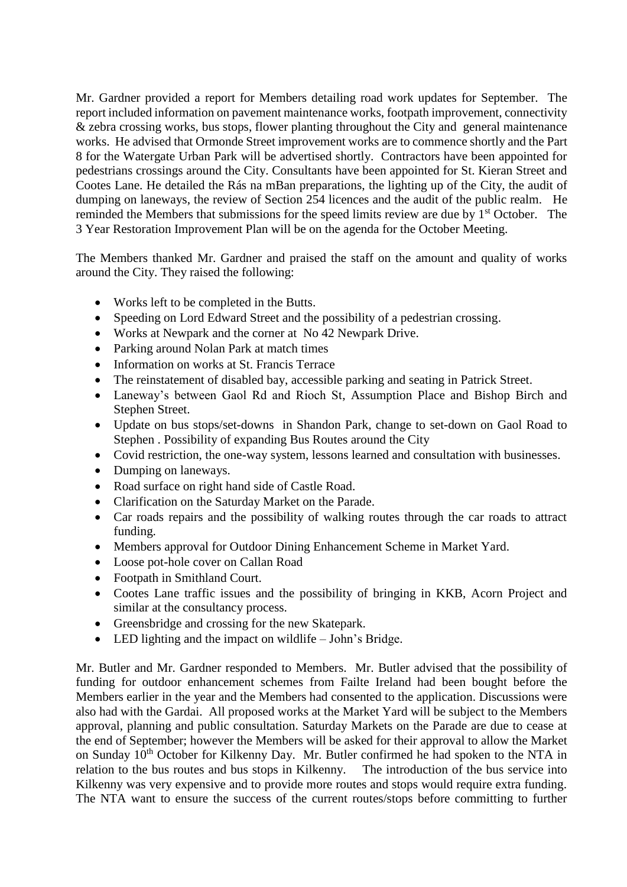Mr. Gardner provided a report for Members detailing road work updates for September. The report included information on pavement maintenance works, footpath improvement, connectivity & zebra crossing works, bus stops, flower planting throughout the City and general maintenance works. He advised that Ormonde Street improvement works are to commence shortly and the Part 8 for the Watergate Urban Park will be advertised shortly. Contractors have been appointed for pedestrians crossings around the City. Consultants have been appointed for St. Kieran Street and Cootes Lane. He detailed the Rás na mBan preparations, the lighting up of the City, the audit of dumping on laneways, the review of Section 254 licences and the audit of the public realm. He reminded the Members that submissions for the speed limits review are due by 1<sup>st</sup> October. The 3 Year Restoration Improvement Plan will be on the agenda for the October Meeting.

The Members thanked Mr. Gardner and praised the staff on the amount and quality of works around the City. They raised the following:

- Works left to be completed in the Butts.
- Speeding on Lord Edward Street and the possibility of a pedestrian crossing.
- Works at Newpark and the corner at No 42 Newpark Drive.
- Parking around Nolan Park at match times
- Information on works at St. Francis Terrace
- The reinstatement of disabled bay, accessible parking and seating in Patrick Street.
- Laneway's between Gaol Rd and Rioch St, Assumption Place and Bishop Birch and Stephen Street.
- Update on bus stops/set-downs in Shandon Park, change to set-down on Gaol Road to Stephen . Possibility of expanding Bus Routes around the City
- Covid restriction, the one-way system, lessons learned and consultation with businesses.
- Dumping on laneways.
- Road surface on right hand side of Castle Road.
- Clarification on the Saturday Market on the Parade.
- Car roads repairs and the possibility of walking routes through the car roads to attract funding.
- Members approval for Outdoor Dining Enhancement Scheme in Market Yard.
- Loose pot-hole cover on Callan Road
- Footpath in Smithland Court.
- Cootes Lane traffic issues and the possibility of bringing in KKB, Acorn Project and similar at the consultancy process.
- Greensbridge and crossing for the new Skatepark.
- LED lighting and the impact on wildlife John's Bridge.

Mr. Butler and Mr. Gardner responded to Members. Mr. Butler advised that the possibility of funding for outdoor enhancement schemes from Failte Ireland had been bought before the Members earlier in the year and the Members had consented to the application. Discussions were also had with the Gardai. All proposed works at the Market Yard will be subject to the Members approval, planning and public consultation. Saturday Markets on the Parade are due to cease at the end of September; however the Members will be asked for their approval to allow the Market on Sunday 10<sup>th</sup> October for Kilkenny Day. Mr. Butler confirmed he had spoken to the NTA in relation to the bus routes and bus stops in Kilkenny. The introduction of the bus service into Kilkenny was very expensive and to provide more routes and stops would require extra funding. The NTA want to ensure the success of the current routes/stops before committing to further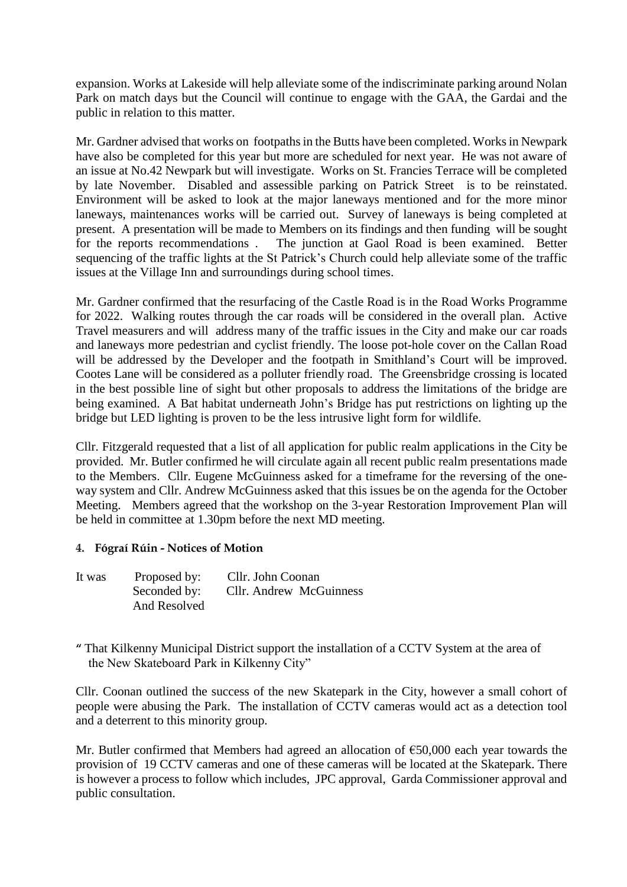expansion. Works at Lakeside will help alleviate some of the indiscriminate parking around Nolan Park on match days but the Council will continue to engage with the GAA, the Gardai and the public in relation to this matter.

Mr. Gardner advised that works on footpaths in the Butts have been completed. Works in Newpark have also be completed for this year but more are scheduled for next year. He was not aware of an issue at No.42 Newpark but will investigate. Works on St. Francies Terrace will be completed by late November. Disabled and assessible parking on Patrick Street is to be reinstated. Environment will be asked to look at the major laneways mentioned and for the more minor laneways, maintenances works will be carried out. Survey of laneways is being completed at present. A presentation will be made to Members on its findings and then funding will be sought for the reports recommendations. The junction at Gaol Road is been examined. Better The junction at Gaol Road is been examined. Better sequencing of the traffic lights at the St Patrick's Church could help alleviate some of the traffic issues at the Village Inn and surroundings during school times.

Mr. Gardner confirmed that the resurfacing of the Castle Road is in the Road Works Programme for 2022. Walking routes through the car roads will be considered in the overall plan. Active Travel measurers and will address many of the traffic issues in the City and make our car roads and laneways more pedestrian and cyclist friendly. The loose pot-hole cover on the Callan Road will be addressed by the Developer and the footpath in Smithland's Court will be improved. Cootes Lane will be considered as a polluter friendly road. The Greensbridge crossing is located in the best possible line of sight but other proposals to address the limitations of the bridge are being examined. A Bat habitat underneath John's Bridge has put restrictions on lighting up the bridge but LED lighting is proven to be the less intrusive light form for wildlife.

Cllr. Fitzgerald requested that a list of all application for public realm applications in the City be provided. Mr. Butler confirmed he will circulate again all recent public realm presentations made to the Members. Cllr. Eugene McGuinness asked for a timeframe for the reversing of the oneway system and Cllr. Andrew McGuinness asked that this issues be on the agenda for the October Meeting. Members agreed that the workshop on the 3-year Restoration Improvement Plan will be held in committee at 1.30pm before the next MD meeting.

#### **4. Fógraí Rúin - Notices of Motion**

- It was Proposed by: Cllr. John Coonan Seconded by: Cllr. Andrew McGuinness And Resolved
- **"** That Kilkenny Municipal District support the installation of a CCTV System at the area of the New Skateboard Park in Kilkenny City"

Cllr. Coonan outlined the success of the new Skatepark in the City, however a small cohort of people were abusing the Park. The installation of CCTV cameras would act as a detection tool and a deterrent to this minority group.

Mr. Butler confirmed that Members had agreed an allocation of €50,000 each year towards the provision of 19 CCTV cameras and one of these cameras will be located at the Skatepark. There is however a process to follow which includes, JPC approval, Garda Commissioner approval and public consultation.